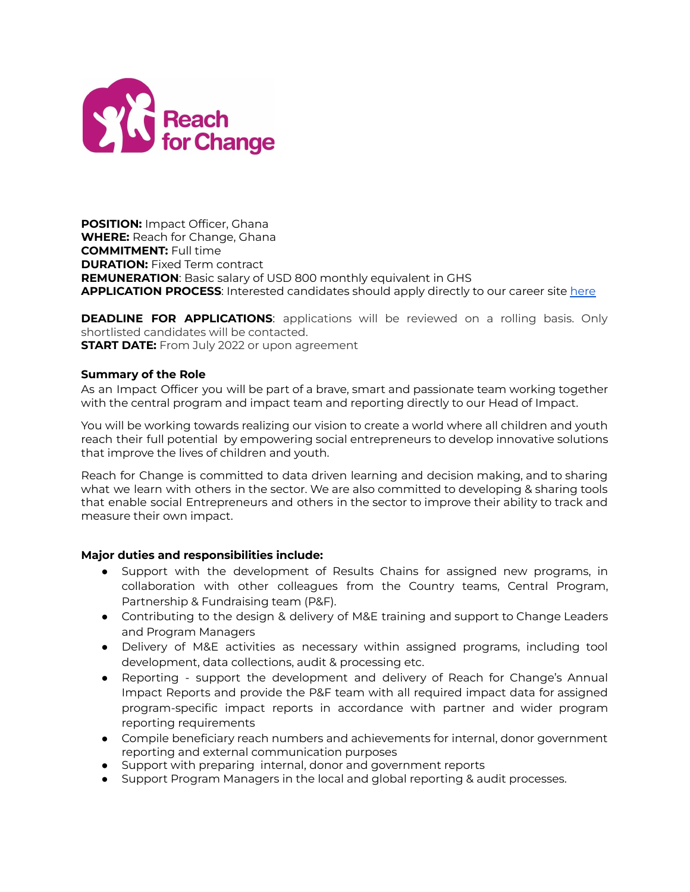

**POSITION:** Impact Officer, Ghana **WHERE:** Reach for Change, Ghana **COMMITMENT:** Full time **DURATION:** Fixed Term contract **REMUNERATION**: Basic salary of USD 800 monthly equivalent in GHS **APPLICATION PROCESS**: Interested candidates should apply directly to our career site [here](https://reachforchange.teamtailor.com/jobs/1776585-impact-officer-ghana)

**DEADLINE FOR APPLICATIONS**: applications will be reviewed on a rolling basis. Only shortlisted candidates will be contacted. **START DATE:** From July 2022 or upon agreement

## **Summary of the Role**

As an Impact Officer you will be part of a brave, smart and passionate team working together with the central program and impact team and reporting directly to our Head of Impact.

You will be working towards realizing our vision to create a world where all children and youth reach their full potential by empowering social entrepreneurs to develop innovative solutions that improve the lives of children and youth.

Reach for Change is committed to data driven learning and decision making, and to sharing what we learn with others in the sector. We are also committed to developing & sharing tools that enable social Entrepreneurs and others in the sector to improve their ability to track and measure their own impact.

## **Major duties and responsibilities include:**

- Support with the development of Results Chains for assigned new programs, in collaboration with other colleagues from the Country teams, Central Program, Partnership & Fundraising team (P&F).
- Contributing to the design & delivery of M&E training and support to Change Leaders and Program Managers
- Delivery of M&E activities as necessary within assigned programs, including tool development, data collections, audit & processing etc.
- Reporting support the development and delivery of Reach for Change's Annual Impact Reports and provide the P&F team with all required impact data for assigned program-specific impact reports in accordance with partner and wider program reporting requirements
- Compile beneficiary reach numbers and achievements for internal, donor government reporting and external communication purposes
- Support with preparing internal, donor and government reports
- Support Program Managers in the local and global reporting & audit processes.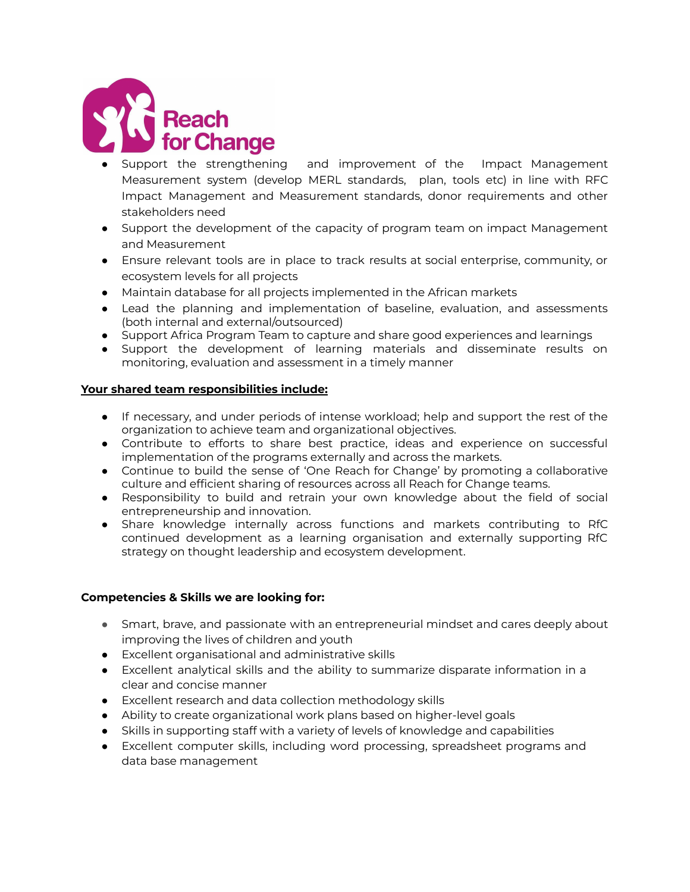

- Support the strengthening and improvement of the Impact Management Measurement system (develop MERL standards, plan, tools etc) in line with RFC Impact Management and Measurement standards, donor requirements and other stakeholders need
- Support the development of the capacity of program team on impact Management and Measurement
- Ensure relevant tools are in place to track results at social enterprise, community, or ecosystem levels for all projects
- Maintain database for all projects implemented in the African markets
- Lead the planning and implementation of baseline, evaluation, and assessments (both internal and external/outsourced)
- Support Africa Program Team to capture and share good experiences and learnings
- Support the development of learning materials and disseminate results on monitoring, evaluation and assessment in a timely manner

# **Your shared team responsibilities include:**

- If necessary, and under periods of intense workload; help and support the rest of the organization to achieve team and organizational objectives.
- Contribute to efforts to share best practice, ideas and experience on successful implementation of the programs externally and across the markets.
- Continue to build the sense of 'One Reach for Change' by promoting a collaborative culture and efficient sharing of resources across all Reach for Change teams.
- Responsibility to build and retrain your own knowledge about the field of social entrepreneurship and innovation.
- Share knowledge internally across functions and markets contributing to RfC continued development as a learning organisation and externally supporting RfC strategy on thought leadership and ecosystem development.

## **Competencies & Skills we are looking for:**

- Smart, brave, and passionate with an entrepreneurial mindset and cares deeply about improving the lives of children and youth
- Excellent organisational and administrative skills
- Excellent analytical skills and the ability to summarize disparate information in a clear and concise manner
- Excellent research and data collection methodology skills
- Ability to create organizational work plans based on higher-level goals
- Skills in supporting staff with a variety of levels of knowledge and capabilities
- Excellent computer skills, including word processing, spreadsheet programs and data base management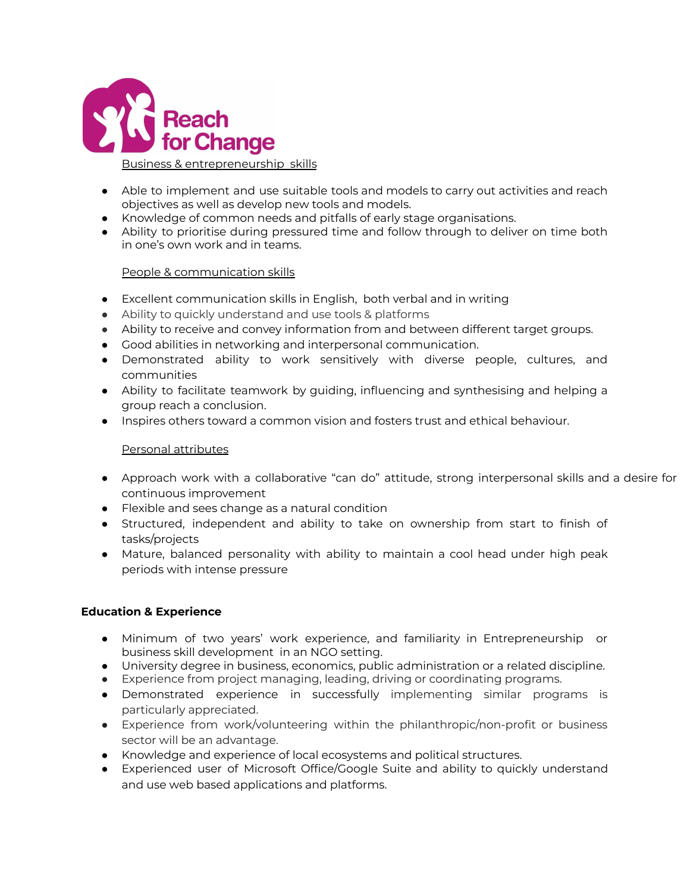

## Business & entrepreneurship skills

- Able to implement and use suitable tools and models to carry out activities and reach objectives as well as develop new tools and models.
- Knowledge of common needs and pitfalls of early stage organisations.
- Ability to prioritise during pressured time and follow through to deliver on time both in one's own work and in teams.

# People & communication skills

- Excellent communication skills in English, both verbal and in writing
- Ability to quickly understand and use tools & platforms
- Ability to receive and convey information from and between different target groups.
- Good abilities in networking and interpersonal communication.
- Demonstrated ability to work sensitively with diverse people, cultures, and communities
- Ability to facilitate teamwork by guiding, influencing and synthesising and helping a group reach a conclusion.
- Inspires others toward a common vision and fosters trust and ethical behaviour.

## Personal attributes

- Approach work with a collaborative "can do" attitude, strong interpersonal skills and a desire for continuous improvement
- Flexible and sees change as a natural condition
- Structured, independent and ability to take on ownership from start to finish of tasks/projects
- Mature, balanced personality with ability to maintain a cool head under high peak periods with intense pressure

## **Education & Experience**

- Minimum of two years' work experience, and familiarity in Entrepreneurship or business skill development in an NGO setting.
- University degree in business, economics, public administration or a related discipline.
- Experience from project managing, leading, driving or coordinating programs.
- Demonstrated experience in successfully implementing similar programs is particularly appreciated.
- Experience from work/volunteering within the philanthropic/non-profit or business sector will be an advantage.
- Knowledge and experience of local ecosystems and political structures.
- Experienced user of Microsoft Office/Google Suite and ability to quickly understand and use web based applications and platforms.